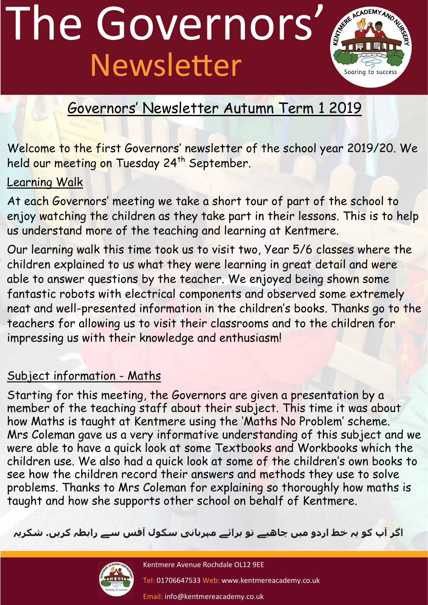# The Governors' Newsletter



### Governors' Newsletter Autumn Term 1 2019

Welcome to the first Governors' newsletter of the school year 2019/20. We held our meeting on Tuesday 24<sup>th</sup> September.

### Learning Walk

At each Governors' meeting we take a short tour of part of the school to enjoy watching the children as they take part in their lessons. This is to help us understand more of the teaching and learning at Kentmere.

Our learning walk this time took us to visit two, Year 5/6 classes where the children explained to us what they were learning in great detail and were able to answer questions by the teacher. We enjoyed being shown some fantastic robots with electrical components and observed some extremely neat and well-presented information in the children's books. Thanks go to the teachers for allowing us to visit their classrooms and to the children for impressing us with their knowledge and enthusiasm!

### Subject information - Maths

Starting for this meeting, the Governors are given a presentation by a member of the teaching staff about their subject. This time it was about how Maths is taught at Kentmere using the 'Maths No Problem' scheme. Mrs Coleman gave us a very informative understanding of this subject and we were able to have a quick look at some Textbooks and Workbooks which the children use. We also had a quick look at some of the children's own books to see how the children record their answers and methods they use to solve problems. Thanks to Mrs Coleman for explaining so thoroughly how maths is taught and how she supports other school on behalf of Kentmere.

**اگر آپ کو یہ خط اردو میں چاھیے تو برائے مہربانی سکول آفس سے رابطہ کریں. شکریہ**



Kentmere Avenue Rochdale OL12 9EE

Tel: 01706647533 Web: www.kentmereacademy.co.uk

Email: info@kentmereacademy.co.uk